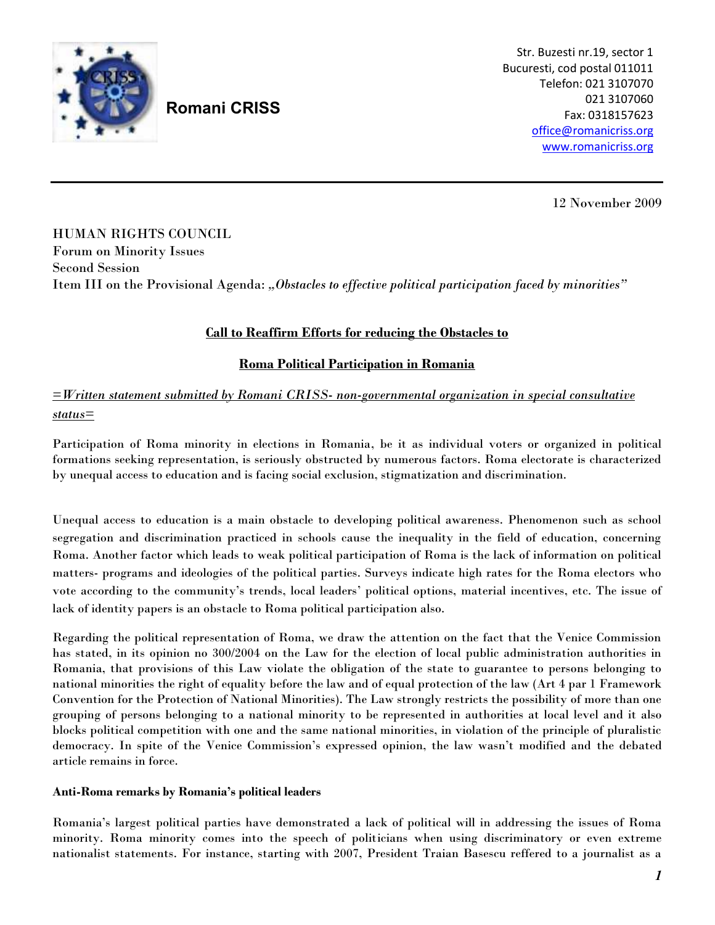

# **Romani CRISS**

Str. Buzesti nr.19, sector 1 Bucuresti, cod postal 011011 Telefon: 021 3107070 021 3107060 Fax: 0318157623 office@romanicriss.org www.romanicriss.org

12 November 2009

HUMAN RIGHTS COUNCIL Forum on Minority Issues Second Session Item III on the Provisional Agenda: *"Obstacles to effective political participation faced by minorities"*

## **Call to Reaffirm Efforts for reducing the Obstacles to**

### **Roma Political Participation in Romania**

# *=Written statement submitted by Romani CRISS- non-governmental organization in special consultative status=*

Participation of Roma minority in elections in Romania, be it as individual voters or organized in political formations seeking representation, is seriously obstructed by numerous factors. Roma electorate is characterized by unequal access to education and is facing social exclusion, stigmatization and discrimination.

Unequal access to education is a main obstacle to developing political awareness. Phenomenon such as school segregation and discrimination practiced in schools cause the inequality in the field of education, concerning Roma. Another factor which leads to weak political participation of Roma is the lack of information on political matters- programs and ideologies of the political parties. Surveys indicate high rates for the Roma electors who vote according to the community's trends, local leaders' political options, material incentives, etc. The issue of lack of identity papers is an obstacle to Roma political participation also.

Regarding the political representation of Roma, we draw the attention on the fact that the Venice Commission has stated, in its opinion no 300/2004 on the Law for the election of local public administration authorities in Romania, that provisions of this Law violate the obligation of the state to guarantee to persons belonging to national minorities the right of equality before the law and of equal protection of the law (Art 4 par 1 Framework Convention for the Protection of National Minorities). The Law strongly restricts the possibility of more than one grouping of persons belonging to a national minority to be represented in authorities at local level and it also blocks political competition with one and the same national minorities, in violation of the principle of pluralistic democracy. In spite of the Venice Commission's expressed opinion, the law wasn't modified and the debated article remains in force.

#### **Anti-Roma remarks by Romania's political leaders**

Romania's largest political parties have demonstrated a lack of political will in addressing the issues of Roma minority. Roma minority comes into the speech of politicians when using discriminatory or even extreme nationalist statements. For instance, starting with 2007, President Traian Basescu reffered to a journalist as a